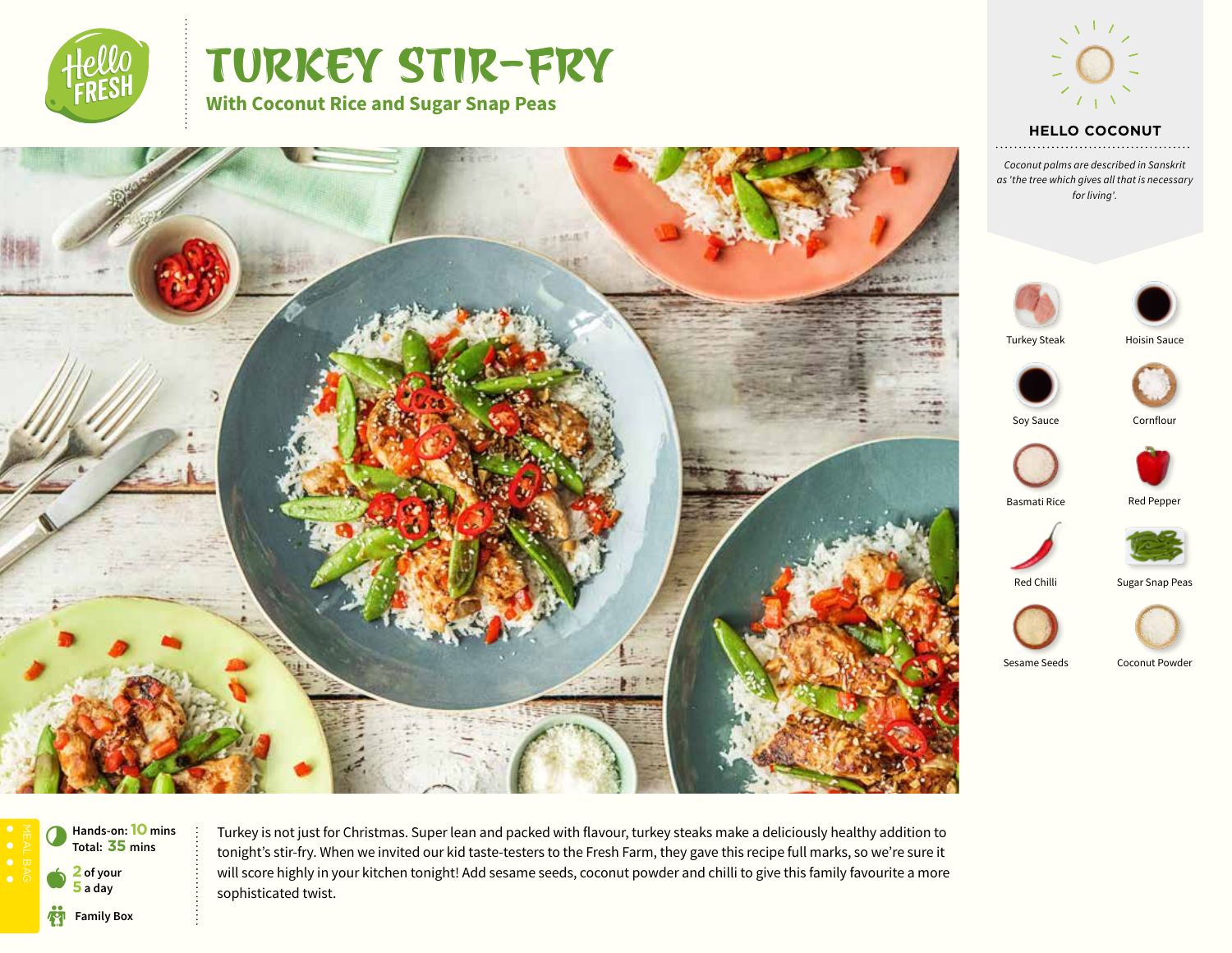

# TURKEY STIR-FRY





## **HELLO COCONUT**

*Coconut palms are described in Sanskrit as 'the tree which gives all that is necessary for living'.*





Turkey Steak









Basmati Rice Red Pepper









Sesame Seeds Coconut Powder





Turkey is not just for Christmas. Super lean and packed with flavour, turkey steaks make a deliciously healthy addition to tonight's stir-fry. When we invited our kid taste-testers to the Fresh Farm, they gave this recipe full marks, so we're sure it will score highly in your kitchen tonight! Add sesame seeds, coconut powder and chilli to give this family favourite a more sophisticated twist.